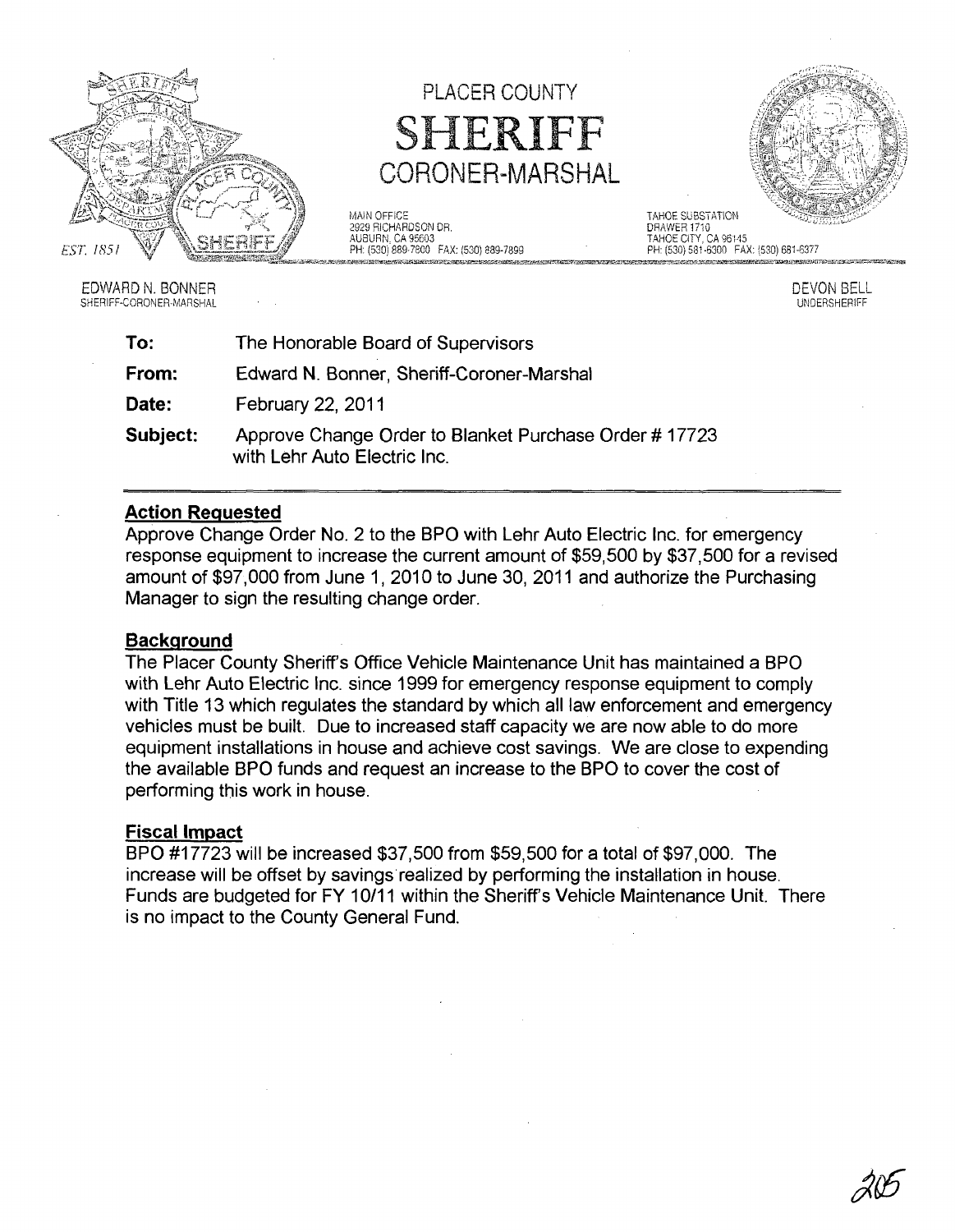

## PLACER COUNTY SHERIFF CORONER-MARSHAL

MAIN OFFICE 2929 RICHARDSON DR, AUBURN, CA 95603 PH: (530)8897800 FAX: (530) 889-7899



TAHOE SUBSTATION DRAWER 1710<br>TAHOE CITY, CA 96145 PH: (530) 581-6300 FAX: (530) 681-6377

EDWARD N\_ BONNER SHERIFF-CORONER-MARSHAL

DEVON BELL UNDERSHERIFF

| To:      | The Honorable Board of Supervisors                                                    |
|----------|---------------------------------------------------------------------------------------|
| From:    | Edward N. Bonner, Sheriff-Coroner-Marshal                                             |
| Date:    | February 22, 2011                                                                     |
| Subject: | Approve Change Order to Blanket Purchase Order #17723<br>with Lehr Auto Electric Inc. |

## Action Requested

Approve Change Order No.2 to the BPO with Lehr Auto Electric Inc. for emergency response equipment to increase the current amount of \$59,500 by \$37,500 for a revised amount of \$97,000 from June 1, 2010 to June 30,2011 and authorize the Purchasing Manager to sign the resulting change order.

## **Background**

The Placer County Sheriff's Office Vehicle Maintenance Unit has maintained a BPO with Lehr Auto Electric Inc. since 1999 for emergency response equipment to comply with Title 13 which regulates the standard by which all law enforcement and emergency vehicles must be built. Due to increased staff capacity we are now able to do more equipment installations in house and achieve cost savings. We are close to expending the available BPO funds and request an increase to the SPO to cover the cost of performing this work in house.

## Fiscal Impact

BPO #17723 will be increased \$37,500 from \$59,500 for a total of \$97,000. The increase will be offset by savings realized by performing the installation in house. Funds are budgeted for FY 10/11 within the Sheriffs Vehicle Maintenance Unit. There is no impact to the County General Fund.